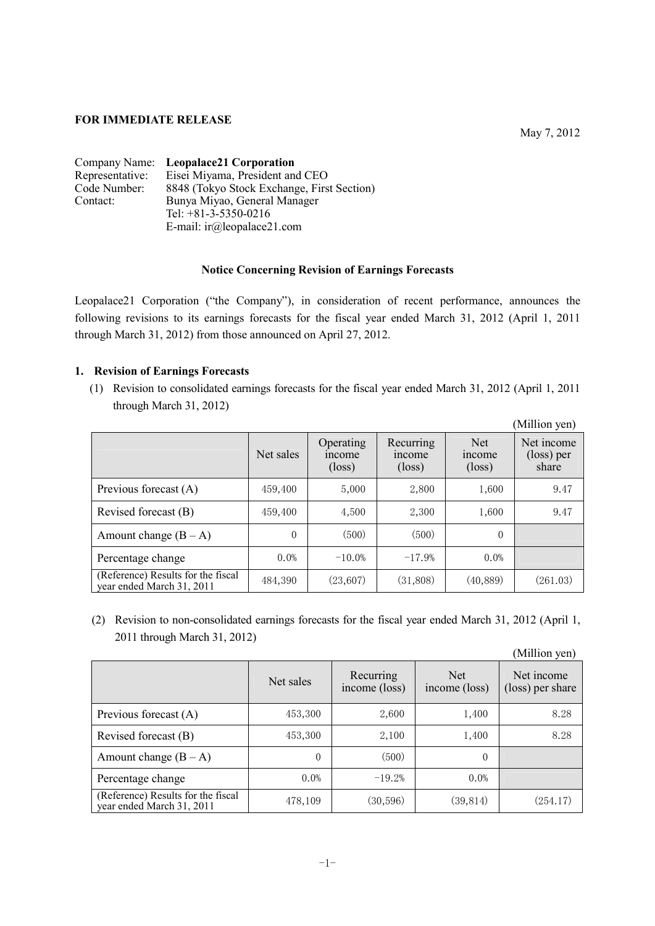## **FOR IMMEDIATE RELEASE**

|                 | Company Name: Leopalace21 Corporation      |
|-----------------|--------------------------------------------|
| Representative: | Eisei Miyama, President and CEO            |
| Code Number:    | 8848 (Tokyo Stock Exchange, First Section) |
| Contact:        | Bunya Miyao, General Manager               |
|                 | Tel: $+81-3-5350-0216$                     |
|                 | E-mail: $ir(\omega)$ leopalace21.com       |

## **Notice Concerning Revision of Earnings Forecasts**

Leopalace21 Corporation ("the Company"), in consideration of recent performance, announces the following revisions to its earnings forecasts for the fiscal year ended March 31, 2012 (April 1, 2011 through March 31, 2012) from those announced on April 27, 2012.

## **1. Revision of Earnings Forecasts**

(1) Revision to consolidated earnings forecasts for the fiscal year ended March 31, 2012 (April 1, 2011 through March 31, 2012)

|                                                                 |           |                                               |                                              |                                          | (Million yen)                     |
|-----------------------------------------------------------------|-----------|-----------------------------------------------|----------------------------------------------|------------------------------------------|-----------------------------------|
|                                                                 | Net sales | Operating<br><i>n</i> come<br>$(\text{loss})$ | Recurring<br><i>ncome</i><br>$(\text{loss})$ | Net.<br><i>n</i> come<br>$(\text{loss})$ | Net income<br>(loss) per<br>share |
| Previous forecast (A)                                           | 459,400   | 5,000                                         | 2,800                                        | 1,600                                    | 9.47                              |
| Revised forecast (B)                                            | 459,400   | 4,500                                         | 2,300                                        | 1,600                                    | 9.47                              |
| Amount change $(B - A)$                                         | $\theta$  | (500)                                         | (500)                                        | $\theta$                                 |                                   |
| Percentage change                                               | 0.0%      | $-10.0\%$                                     | $-17.9%$                                     | 0.0%                                     |                                   |
| (Reference) Results for the fiscal<br>year ended March 31, 2011 | 484,390   | (23,607)                                      | (31,808)                                     | (40, 889)                                | (261.03)                          |

(2) Revision to non-consolidated earnings forecasts for the fiscal year ended March 31, 2012 (April 1, 2011 through March 31, 2012)

(Million yen)

|                                                                 | Net sales | Recurring<br>income (loss) | Net.<br>income (loss) | Net income<br>(loss) per share |
|-----------------------------------------------------------------|-----------|----------------------------|-----------------------|--------------------------------|
| Previous forecast $(A)$                                         | 453,300   | 2,600                      | 1,400                 | 8.28                           |
| Revised forecast (B)                                            | 453,300   | 2,100                      | 1,400                 | 8.28                           |
| Amount change $(B - A)$                                         | $\theta$  | (500)                      | $\theta$              |                                |
| Percentage change                                               | $0.0\%$   | $-19.2%$                   | $0.0\%$               |                                |
| (Reference) Results for the fiscal<br>year ended March 31, 2011 | 478,109   | (30, 596)                  | (39, 814)             | (254.17)                       |